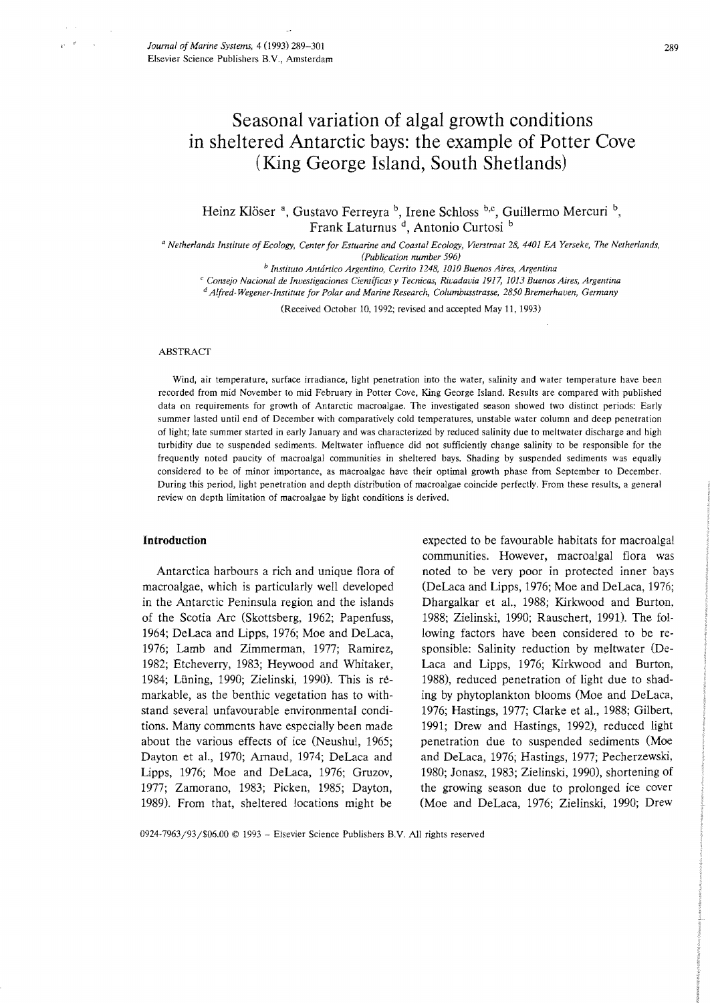# Seasonal variation of algal growth conditions in sheltered Antarctic bays: the example of Potter Cove (King George Island, South Shetlands)

Heinz Klöser<sup>a</sup>, Gustavo Ferreyra<sup>b</sup>, Irene Schloss<sup>b,c</sup>, Guillermo Mercuri<sup>b</sup>, Frank Laturnus<sup>d</sup>, Antonio Curtosi<sup>b</sup>

*a Netherlands Institute of Ecology, Center for Estuarine and Coastal Ecology, Vierstraat 28,4401 EA Yerseke, The Netherlands, (Publication number 596)* 

*b Instituto Antartico Argentino, Cerrito* 1248, *1010 Buenos Aires, Argentina* 

<sup>c</sup> Consejo Nacional de Investigaciones Científicas y Tecnicas, Rivadavia 1917, 1013 Buenos Aires, Argentina

*d Alfred-Wegener-Institute for Polar and Marine Research, Columbusstrasse, 2850 Bremerhaven, Germany* 

(Received October 10, 1992; revised and accepted May 11, 1993)

#### ABSTRACf

Wind, air temperature, surface irradiance, light penetration into the water, salinity and water temperature have been recorded from mid November to mid February in Potter Cove, King George Island. Results are compared with published data on requirements for growth of Antarctic macroalgae. The investigated season showed two distinct periods: Early summer lasted until end of December with comparatively cold temperatures, unstable water column and deep penetration of light; late summer started in early January and was characterized by reduced salinity due to meltwater discharge and high turbidity due to suspended sediments. Meltwater influence did not sufficiently change salinity to be responsible for the frequently noted paucity of macroalgal communities in sheltered bays. Shading by suspended sediments was equally considered to be of minor importance, as macroalgae have their optimal growth phase from September to December. During this period, light penetration and depth distribution of macroalgae coincide perfectly. From these results, a general review on depth limitation of macroalgae by light conditions is derived.

# Introduction

Antarctica harbours a rich and unique flora of macroalgae, which is particularly well developed in the Antarctic Peninsula region and the islands of the Scotia Arc (Skottsberg, 1962; Papenfuss, 1964; DeLaca and Lipps, 1976; Moe and DeLaca, 1976; Lamb and Zimmerman, 1977; Ramirez, 1982; Etcheverry, 1983; Heywood and Whitaker, 1984; Luning, 1990; Zielinski, 1990). This is remarkable, as the benthic vegetation has to withstand several unfavourable environmental conditions. Many comments have especially been made about the various effects of ice (Neushul, 1965; Dayton et aI., 1970; Arnaud, 1974; DeLaca and Lipps, 1976; Moe and DeLaca, 1976; Gruzov, 1977; Zamorano, 1983; Picken, 1985; Dayton, 1989). From that, sheltered locations might be

expected to be favourable habitats for macroalgal communities. However, macroalgal flora was noted to be very poor in protected inner bays (DeLaca and Lipps, 1976; Moe and DeLaca, 1976; Dhargalkar et aI., 1988; Kirkwood and Burton, 1988; Zielinski, 1990; Rauschert, 1991). The following factors have been considered to be responsible: Salinity reduction by meltwater (De-Laca and Lipps, 1976; Kirkwood and Burton, 1988), reduced penetration of light due to shading by phytoplankton blooms (Moe and DeLaca, 1976; Hastings, 1977; Clarke et aI., 1988; Gilbert. 1991; Drew and Hastings, 1992), reduced light penetration due to suspended sediments (Moe and DeLaca, 1976; Hastings, 1977; Pecherzewski, 1980; Jonasz, 1983; Zielinski, 1990), shortening of the growing season due to prolonged ice cover (Moe and DeLaca, 1976; Zielinski, 1990; Drew

0924.7963/93/\$06.00 © 1993 - Elsevier Science Publishers B.Y. All rights reserved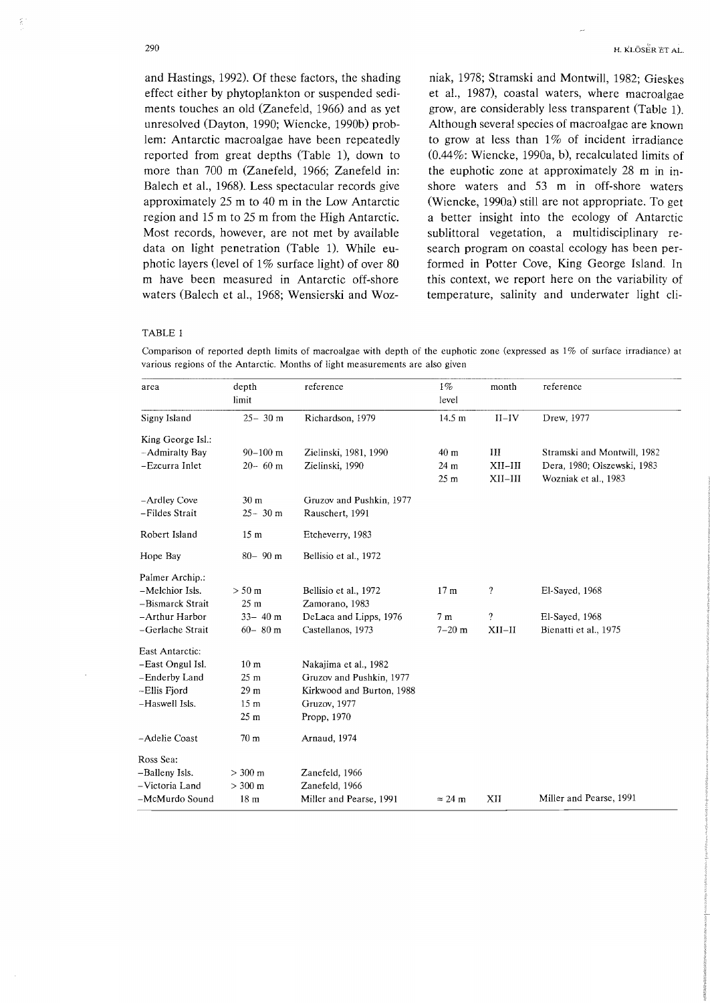and Hastings, 1992). Of these factors, the shading effect either by phytoplankton or suspended sediments touches an old (Zanefeld, 1966) and as yet unresolved (Dayton, 1990; Wiencke, 1990b) problem: Antarctic macroalgae have been repeatedly reported from great depths (Table 1), down to more than 700 m (Zanefeld, 1966; Zanefeld in: Balech et a!., 1968). Less spectacular records give approximately 25 m to 40 m in the Low Antarctic region and 15 m to 25 m from the High Antarctic. Most records, however, are not met by available data on light penetration (Table 1). While euphotic layers (level of  $1\%$  surface light) of over 80 m have been measured in Antarctic off-shore waters (Balech et al., 1968; Wensierski and Woz-

niak, 1978; Stramski and Montwill, 1982; Gieskes et aI., 1987), coastal waters, where macroalgae grow, are considerably less transparent (Table 1). Although several species of macroalgae are known to grow at less than  $1\%$  of incident irradiance (0.44%: Wiencke, 1990a, b), recalculated limits of the euphotic zone at approximately 28 m in inshore waters and 53 m in off-shore waters (Wiencke, 1990a) still are not appropriate. To get a better insight into the ecology of Antarctic sublittoral vegetation, a multidisciplinary research program on coastal ecology has been performed in Potter Cove, King George Island. In this context, we report here on the variability of temperature, salinity and underwater light cli-

#### TABLE 1

Comparison of reported depth limits of macroalgae with depth of the euphotic zone (expressed as  $1\%$  of surface irradiance) at various regions of the Antarctic. Months of light measurements are also given

| area              | depth<br>limit    | reference                 | $1\%$<br>level   | month              | reference                   |
|-------------------|-------------------|---------------------------|------------------|--------------------|-----------------------------|
| Signy Island      | $25 - 30$ m       | Richardson, 1979          | $14.5 \text{ m}$ | $II$ -IV           | Drew, 1977                  |
| King George Isl.: |                   |                           |                  |                    |                             |
| -Admiralty Bay    | $90 - 100$ m      | Zielinski, 1981, 1990     | 40 <sub>m</sub>  | $_{\rm III}$       | Stramski and Montwill, 1982 |
| -Ezcurra Inlet    | $20 - 60$ m       | Zielinski, 1990           | 24 m             | $XII-III$          | Dera, 1980; Olszewski, 1983 |
|                   |                   |                           | 25 <sub>m</sub>  | $XII-III$          | Wozniak et al., 1983        |
| -Ardley Cove      | 30 <sub>m</sub>   | Gruzov and Pushkin, 1977  |                  |                    |                             |
| -Fildes Strait    | $25 - 30$ m       | Rauschert, 1991           |                  |                    |                             |
| Robert Island     | 15 <sub>m</sub>   | Etcheverry, 1983          |                  |                    |                             |
| Hope Bay          | $80 - 90$ m       | Bellisio et al., 1972     |                  |                    |                             |
| Palmer Archip.:   |                   |                           |                  |                    |                             |
| -Melchior Isls.   | $> 50 \text{ m}$  | Bellisio et al., 1972     | 17 <sub>m</sub>  | ?                  | El-Sayed, 1968              |
| -Bismarck Strait  | 25 <sub>m</sub>   | Zamorano, 1983            |                  |                    |                             |
| -Arthur Harbor    | $33 - 40$ m       | DeLaca and Lipps, 1976    | 7 <sub>m</sub>   | $\overline{\cdot}$ | El-Sayed, 1968              |
| -Gerlache Strait  | $60 - 80$ m       | Castellanos, 1973         | $7 - 20$ m       | $XII-II$           | Bienatti et al., 1975       |
| East Antarctic:   |                   |                           |                  |                    |                             |
| -East Ongul Isl.  | 10 <sub>m</sub>   | Nakajima et al., 1982     |                  |                    |                             |
| -Enderby Land     | 25 <sub>m</sub>   | Gruzov and Pushkin, 1977  |                  |                    |                             |
| -Ellis Fjord      | 29 <sub>m</sub>   | Kirkwood and Burton, 1988 |                  |                    |                             |
| -Haswell Isls.    | 15 <sub>m</sub>   | Gruzov, 1977              |                  |                    |                             |
|                   | 25 <sub>m</sub>   | Propp, 1970               |                  |                    |                             |
| -Adelie Coast     | 70 <sub>m</sub>   | Arnaud, 1974              |                  |                    |                             |
| Ross Sea:         |                   |                           |                  |                    |                             |
| -Balleny Isls.    | $> 300 \text{ m}$ | Zanefeld, 1966            |                  |                    |                             |
| -Victoria Land    | $> 300 \text{ m}$ | Zanefeld, 1966            |                  |                    |                             |
| -McMurdo Sound    | 18 <sub>m</sub>   | Miller and Pearse, 1991   | $\approx$ 24 m   | XII                | Miller and Pearse, 1991     |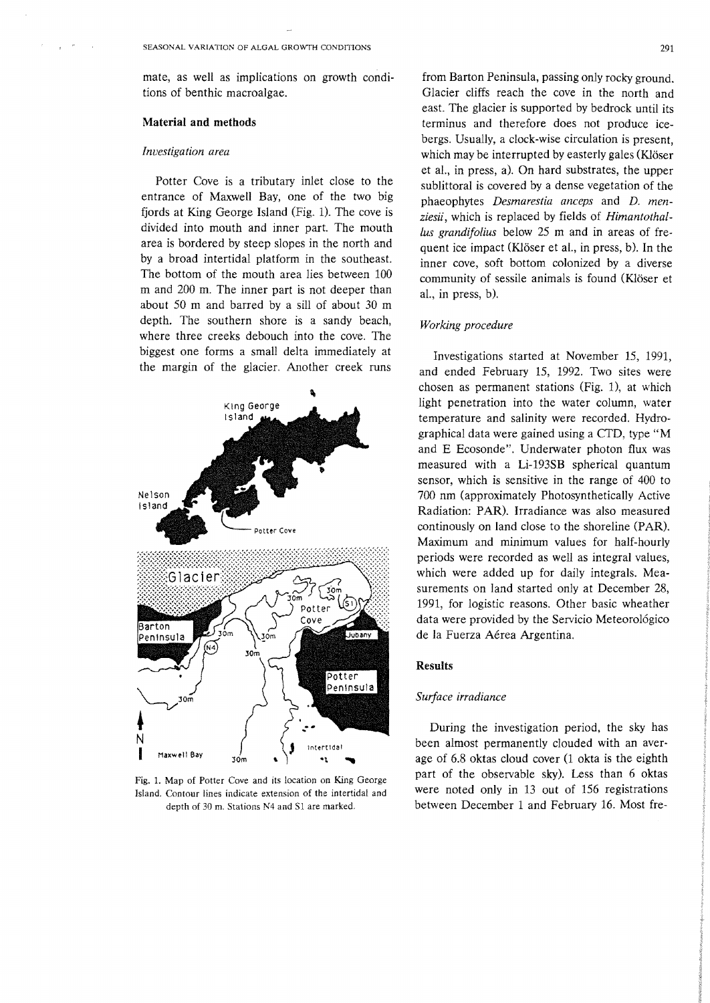mate, as well as implications on growth conditions of benthic macroalgae.

# Material **and** methods

### *Investigation area*

Potter Cove is a tributary inlet close to the entrance of Maxwell Bay, one of the two big fjords at King George Island (Fig. 1). The cove is divided into mouth and inner part. The mouth area is bordered by steep slopes in the north and by a broad intertidal platform in the southeast. The bottom of the mouth area lies between 100 m and 200 m. The inner part is not deeper than about 50 m and barred by a sill of about 30 m depth. The southern shore is a sandy beach, where three creeks debouch into the cove. The biggest one forms a small delta immediately at the margin of the glacier. Another creek runs



Fig. 1. Map of Potter Cove and its location on King George Island. Contour lines indicate extension of the intertidal and depth of 30 m. Stations N4 and Sl are marked.

from Barton Peninsula, passing only rocky ground. Glacier cliffs reach the cove in the north and east. The glacier is supported by bedrock until its terminus and therefore does not produce icebergs. Usually, a clock-wise circulation is present, which may be interrupted by easterly gales (Klöser et al., in press, a). On hard substrates, the upper sublittoral is covered by a dense vegetation of the phaeophytes *Desmarestia anceps* and *D. menziesii,* which is replaced by fields of *Himantothal-Ius grandifolius* below 25 m and in areas of frequent ice impact (Klöser et al., in press, b). In the inner cove, soft bottom colonized by a diverse community of sessile animals is found (Klöser et al., in press, b).

# *Working procedure*

Investigations started at November 15, 1991, and ended February 15, 1992. Two sites were chosen as permanent stations (Fig. 1), at which light penetration into the water column, water temperature and salinity were recorded. Hydrographical data were gained using a CTD, type "M and E Ecosonde". Underwater photon flux was measured with a Li-193SB spherical quantum sensor, which is sensitive in the range of 400 to 700 nm (approximately Photosynthetically Active Radiation: PAR). Irradiance was also measured continously on land close to the shoreline (PAR). Maximum and minimum values for half-hourly periods were recorded as well as integral values, which were added up for daily integrals. Measurements on land started only at December 28, 1991, for logistic reasons. Other basic wheather data were provided by the Servicio Meteorológico de la Fuerza Aerea Argentina.

### Results

#### *Surface irradiance*

During the investigation period, the sky has been almost permanently clouded with an average of 6.8 oktas cloud cover (l okta is the eighth part of the observable sky). Less than 6 oktas were noted only in 13 out of 156 registrations between December 1 and February 16. Most fre-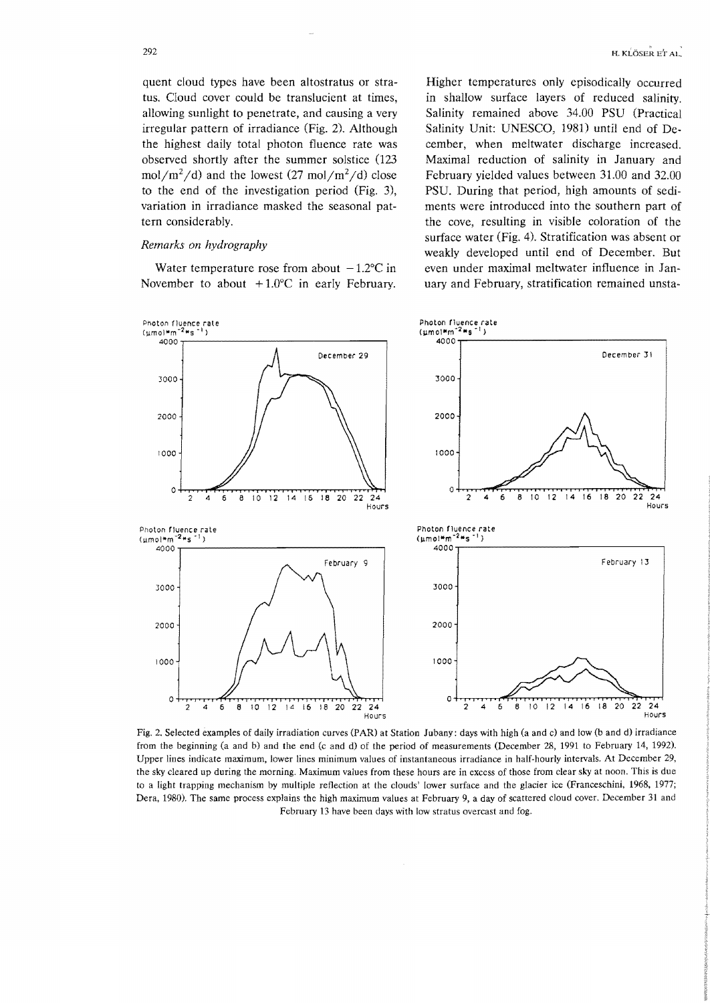quent cloud types have been altostratus or stratus. Cloud cover could be translucient at times, allowing sunlight to penetrate, and causing a very irregular pattern of irradiance (Fig. 2). Although the highest daily total photon fluence rate was observed shortly after the summer solstice (123  $mol/m<sup>2</sup>/d)$  and the lowest (27 mol/m<sup>2</sup>/d) close to the end of the investigation period (Fig. 3), variation in irradiance masked the seasonal pattern considerably.

# *Remarks on hydrography*

Water temperature rose from about  $-1.2$ °C in November to about  $+1.0$ °C in early February.

Higher temperatures only episodically occurred in shallow surface layers of reduced salinity. Salinity remained above 34.00 PSU (Practical Salinity Unit: UNESCO, 1981) until end of December, when meltwater discharge increased. Maximal reduction of salinity in January and February yielded values between 31.00 and 32.00 PSU. During that period, high amounts of sediments were introduced into the southern part of the cove, resulting in visible coloration of the surface water (Fig. 4). Stratification was absent or weakly developed until end of December. But even under maximal meltwater influence in January and February, stratification remained unsta-



Fig. 2. Selected examples of daily irradiation curves (PAR) at Station Jubany: days with high (a and c) and low (b and d) irradiance from the beginning (a and b) and the end (c and d) of the period of measurements (December 28, 1991 to February 14, 1992). Upper lines indicate maximum, lower lines minimum values of instantaneous irradiance in half-hourly intervals. At December 29, the sky cleared up during the morning. Maximum values from these hours are in excess of those from clear sky at noon. This is due to a light trapping mechanism by multiple reflection at the clouds' lower surface and the glacier ice (Franceschini, 1968, 1977; Dera, 1980). The same process explains the high maximum values at February 9, a day of scattered cloud cover. December 31 and February 13 have been days with low stratus overcast and fog.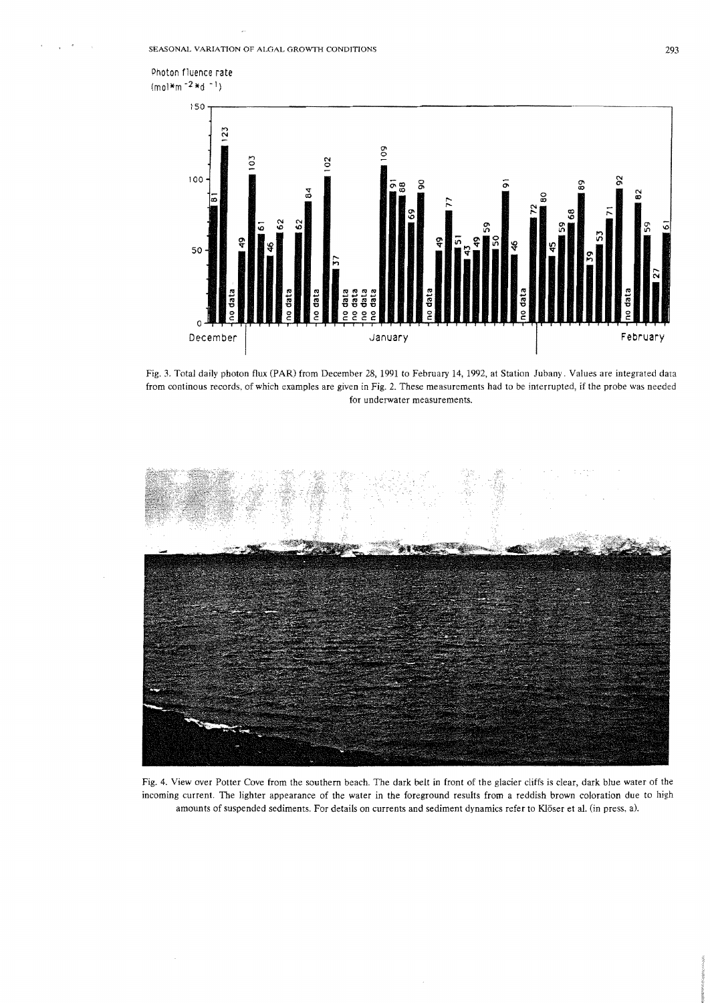Photon fluence rate  $(mol*<sub>m</sub> -2*d -1)$ 



Fig. 3. Total daily photon flux (PAR) from December 28, 1991 to February 14, 1992, at Station Jubany. Values are integrated data from continous records. of which examples are given in Fig. 2. These measurements had to be interrupted, if the probe was needed for underwater measurements.



Fig. 4. View over Potter Cove from the southern beach. The dark belt in front of the glacier cliffs is clear, dark blue water of the incoming current. The lighter appearance of the water in the foreground results from a reddish brown coloration due to high amounts of suspended sediments. For details on currents and sediment dynamics refer to Klöser et al. (in press, a).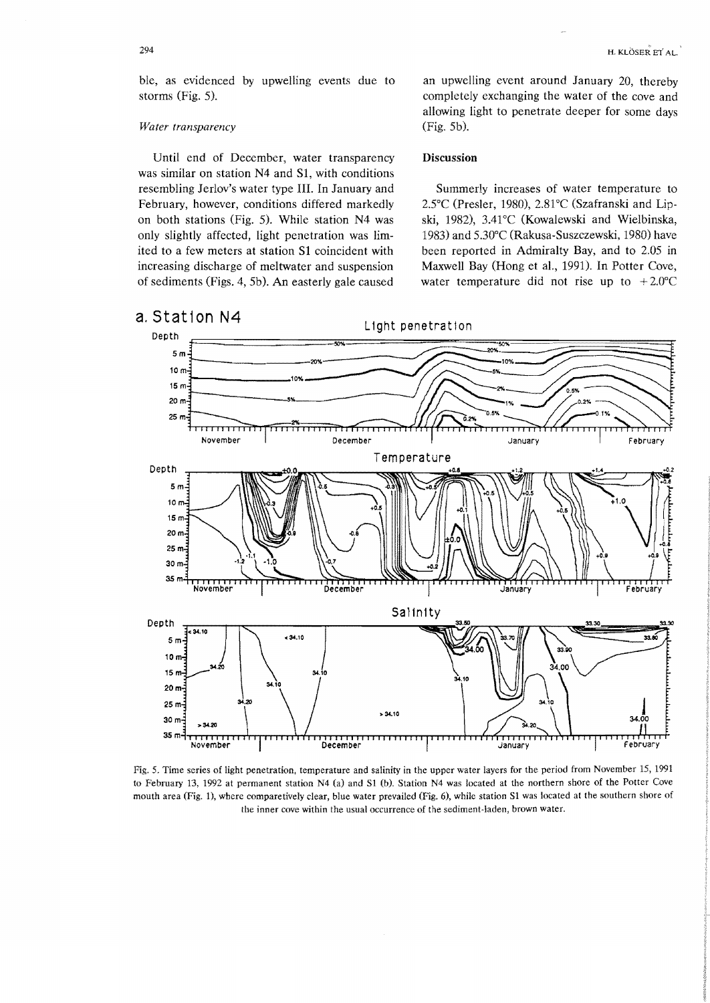H. KLÔSER ET AL.

ble, as evidenced by upwelling events due to storms (Fig. 5).

#### *Water transparency*

Until end of December, water transparency was similar on station N4 and Sl, with conditions resembling Jerlov's water type III. In January and February, however, conditions differed markedly on both stations (Fig. 5). While station N4 was only slightly affected, light penetration was limited to a few meters at station Sl coincident with increasing discharge of meltwater and suspension of sediments (Figs. 4, 5b). An easterly gale caused

an upwelling event around January 20, thereby completely exchanging the water of the cove and allowing light to penetrate deeper for some days (Fig. 5b).

# Discussion

Summerly increases of water temperature to 2SC (Presler, 1980), 2.81°C (Szafranski and Lipski, 1982), 3.41°C (Kowalewski and Wielbinska, 1983) and 5.30°C (Rakusa-Suszczewski, 1980) have been reported in Admiralty Bay, and to 2.05 in Maxwell Bay (Hong et al., 1991). In Potter Cove, water temperature did not rise up to  $+2.0^{\circ}$ C



Fig. 5. Time series of light penetration, temperature and salinity in the upper water layers for the period from November 15, 1991 to February 13, 1992 at permanent station N4 (a) and Sl (b). Station N4 was located at the northern shore of the Potter Cove mouth area (Fig. 1), where comparetively clear, blue water prevailed (Fig. 6), while station Sl was located at the southern shore of the inner cove within the usual occurrence of the sediment· laden, brown water.



294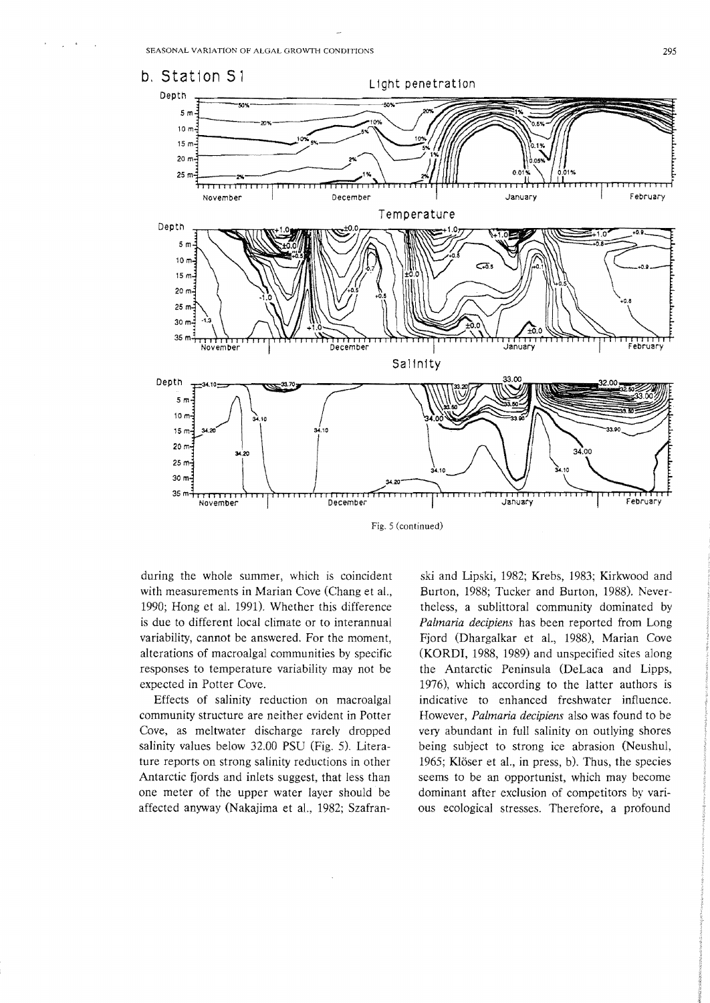

Fig. 5 (continued)

during the whole summer, which is coincident with measurements in Marian Cove (Chang et aI., 1990; Hong et aL 1991). Whether this difference is due to different local climate or to interannual variability, cannot be answered. For the moment, alterations of macroalgal communities by specific responses to temperature variability may not be expected in Potter Cove.

Effects of salinity reduction on macroalgal community structure are neither evident in Potter Cove, as meltwater discharge rarely dropped salinity values below 32.00 PSU (Fig. 5). Literature reports on strong salinity reductions in other Antarctic fjords and inlets suggest, that less than one meter of the upper water layer should be affected anyway (Nakajima et aI., 1982; Szafran-

ski and Lipski, 1982; Krebs, 1983; Kirkwood and Burton, 1988; Tucker and Burton, 1988). Nevertheless, a sublittoral community dominated by *Palmaria decipiens* has been reported from Long Fjord (Dhargalkar et al., 1988), Marian Cove (KORDI, 1988, 1989) and unspecified sites along the Antarctic Peninsula (DeLaca and Lipps, 1976), which according to the latter authors is indicative to enhanced freshwater influence. However, *Palmaria decipiens* also was found to be very abundant in full salinity on outlying shores being subject to strong ice abrasion (Neushul, 1965; Klöser et al., in press, b). Thus, the species seems to be an opportunist, which may become dominant after exclusion of competitors by various ecological stresses. Therefore, a profound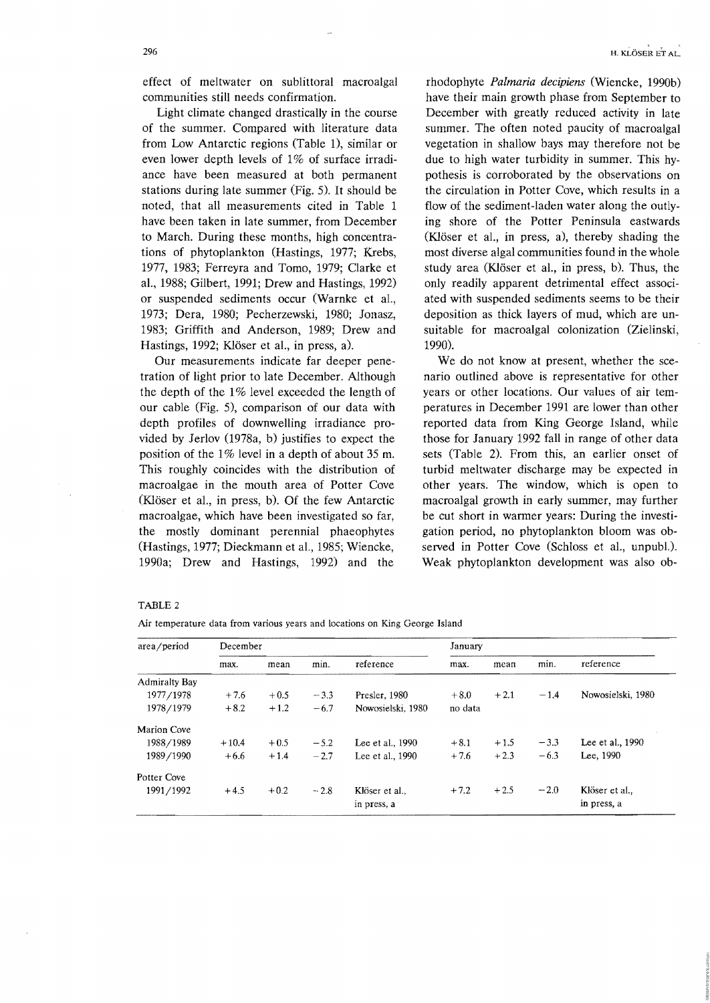effect of meltwater on sublittoral macroalgal communities still needs confirmation.

Light climate changed drastically in the course of the summer. Compared with literature data from Low Antarctic regions (Table 1), similar or even lower depth levels of 1% of surface irradiance have been measured at both permanent stations during late summer (Fig. 5). It should be noted, that all measurements cited in Table 1 have been taken in late summer, from December to March. During these months, high concentrations of phytoplankton (Hastings, 1977; Krebs, 1977, 1983; Ferreyra and Tomo, 1979; Clarke et aI., 1988; Gilbert, 1991; Drew and Hastings, 1992) or suspended sediments occur (Warnke et aI., 1973; Dera, 1980; Pecherzewski, 1980; Jonasz, 1983; Griffith and Anderson, 1989; Drew and Hastings, 1992; Klöser et al., in press, a).

Our measurements indicate far deeper penetration of light prior to late December. Although the depth of the 1% level exceeded the length of our cable (Fig. 5), comparison of our data with depth profiles of downwelling irradiance provided by Jerlov (1978a, b) justifies to expect the position of the  $1\%$  level in a depth of about 35 m. This roughly coincides with the distribution of macro algae in the mouth area of Potter Cove (Klöser et al., in press, b). Of the few Antarctic macroalgae, which have been investigated so far, the mostly dominant perennial phaeophytes (Hastings, 1977; Dieckmann et aI., 1985; Wiencke, 1990a; Drew and Hastings, 1992) and the

rhodophyte Palmaria decipiens (Wiencke, 1990b) have their main growth phase from September to December with greatly reduced activity in late summer. The often noted paucity of macroalgal vegetation in shallow bays may therefore not be due to high water turbidity in summer. This hypothesis is corroborated by the observations on the circulation in Potter Cove, which results in a flow of the sediment-laden water along the outlying shore of the Potter Peninsula eastwards (Klöser et al., in press, a), thereby shading the most diverse algal communities found in the whole study area (Klöser et al., in press, b). Thus, the only readily apparent detrimental effect associated with suspended sediments seems to be their deposition as thick layers of mud, which are unsuitable for macroalgal colonization (Zielinski, 1990).

We do not know at present, whether the scenario outlined above is representative for other years or other locations. Our values of air temperatures in December 1991 are lower than other reported data from King George Island, while those for January 1992 fall in range of other data sets (Table 2). From this, an earlier onset of turbid meltwater discharge may be expected in other years. The window, which is open to macroalgal growth in early summer, may further be cut short in warmer years: During the investigation period, no phytoplankton bloom was observed in Potter Cove (Schloss et aI., unpubL). Weak phytoplankton development was also ob-

#### TABLE 2

|  | Air temperature data from various years and locations on King George Island |  |  |  |  |  |  |  |  |  |  |  |
|--|-----------------------------------------------------------------------------|--|--|--|--|--|--|--|--|--|--|--|
|--|-----------------------------------------------------------------------------|--|--|--|--|--|--|--|--|--|--|--|

| area/period          | December |        | January |                   |         |        |        |                   |  |
|----------------------|----------|--------|---------|-------------------|---------|--------|--------|-------------------|--|
|                      | max.     | mean   | min.    | reference         | max.    | mean   | min.   | reference         |  |
| <b>Admiralty Bay</b> |          |        |         |                   |         |        |        |                   |  |
| 1977/1978            | $+7.6$   | $+0.5$ | $-3.3$  | Presler, 1980     | $+8.0$  | $+2.1$ | $-1.4$ | Nowosielski, 1980 |  |
| 1978/1979            | $+8.2$   | $+1.2$ | $-6.7$  | Nowosielski, 1980 | no data |        |        |                   |  |
| Marion Cove          |          |        |         |                   |         |        |        |                   |  |
| 1988/1989            | $+10.4$  | $+0.5$ | $-5.2$  | Lee et al., 1990  | $+8.1$  | $+1.5$ | $-3.3$ | Lee et al., 1990  |  |
| 1989/1990            | $+6.6$   | $+1.4$ | $-2.7$  | Lee et al., 1990  | $+7.6$  | $+2.3$ | $-6.3$ | Lee, 1990         |  |
| Potter Cove          |          |        |         |                   |         |        |        |                   |  |
| 1991/1992            | $+4.5$   | $+0.2$ | $-2.8$  | Klöser et al.,    | $+7.2$  | $+2.5$ | $-2.0$ | Klöser et al      |  |
|                      |          |        |         | in press, a       |         |        |        | in press, a       |  |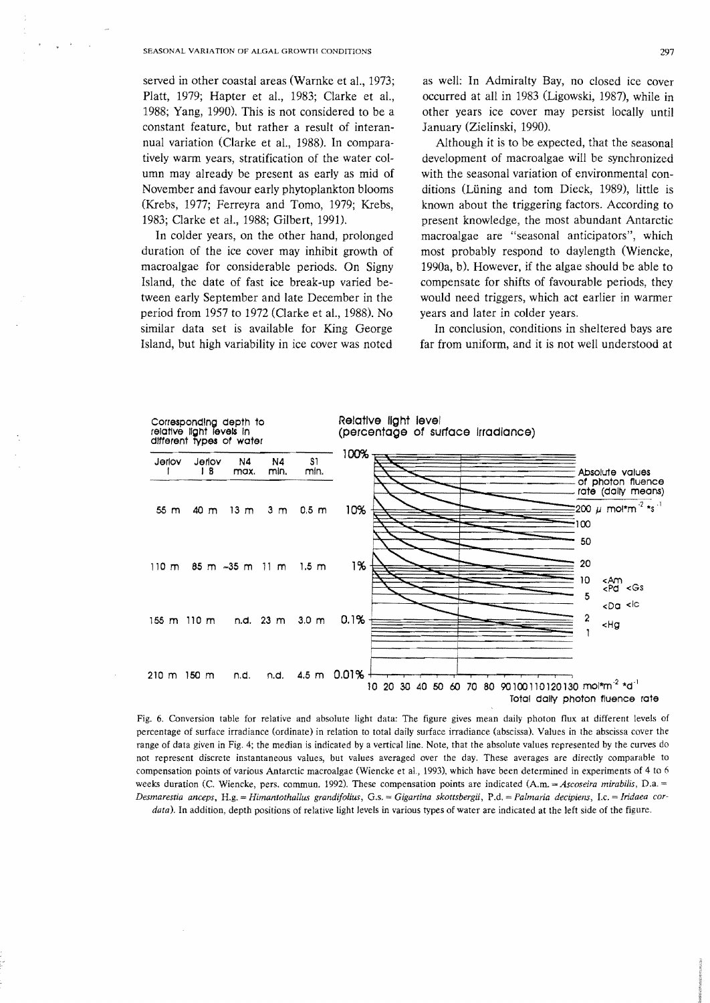served in other coastal areas (Warnke et al., 1973; Platt, 1979; Hapter et aL, 1983; Clarke et aL, 1988; Yang, 1990). This is not considered to be a constant feature, but rather a result of interannual variation (Clarke et aL, 1988). In comparatively warm years, stratification of the water column may already be present as early as mid of November and favour early phytoplankton blooms (Krebs, 1977; Ferreyra and Tomo, 1979; Krebs, 1983; Clarke et al., 1988; Gilbert, 1991).

In colder years, on the other hand, prolonged duration of the ice cover may inhibit growth of macroalgae for considerable periods. On Signy Island, the date of fast ice break-up varied between early September and late December in the period from 1957 to 1972 (Clarke et al., 1988). No similar data set is available for King George Island, but high variability in ice cover was noted

as well: In Admiralty Bay, no closed ice cover occurred at all in 1983 (Ligowski, 1987), while in other years ice cover may persist locally until January (Zielinski, 1990).

Although it is to be expected, that the seasonal development of macroalgae will be synchronized with the seasonal variation of environmental conditions (Luning and tom Dieck, 1989), little is known about the triggering factors. According to present knowledge, the most abundant Antarctic macroalgae are "seasonal anticipators", which most probably respond to daylength (Wieneke, 1990a, b). However, if the algae should be able to compensate for shifts of favourable periods, they would need triggers, which act earlier in warmer years and later in colder years.

In conclusion, conditions in sheltered bays are far from uniform, and it is not well understood at



Fig. 6. Conversion table for relative and absolute light data: The figure gives mean daily photon flux at different levels of percentage of surface irradiance (ordinate) in relation to total daily surface irradiance (abscissa). Values in the abscissa cover the range of data given in Fig. 4; the median is indicated by a vertical line. Note, that the absolute values represented by the curves do not represent discrete instantaneous values, but values averaged over the day. These averages are directly comparable to compensation points of various Antarctic macroalgae (Wieneke et aI., 1993), which have been determined in experiments of 4 to 6 weeks duration (C. Wiencke, pers. commun. 1992). These compensation points are indicated (A.m. = *Ascoseira mirabilis*, D.a. = *Desmarestia anceps,* H.g. = *Himantothallus grandifoUus,* G.s. *Gigartina skottsbergii,* P.d. = *Palmaria decipiens,* I.e. *Iridaea cordata).* In addition, depth positions of relative light levels in various types of water are indicated at the left side of the figure.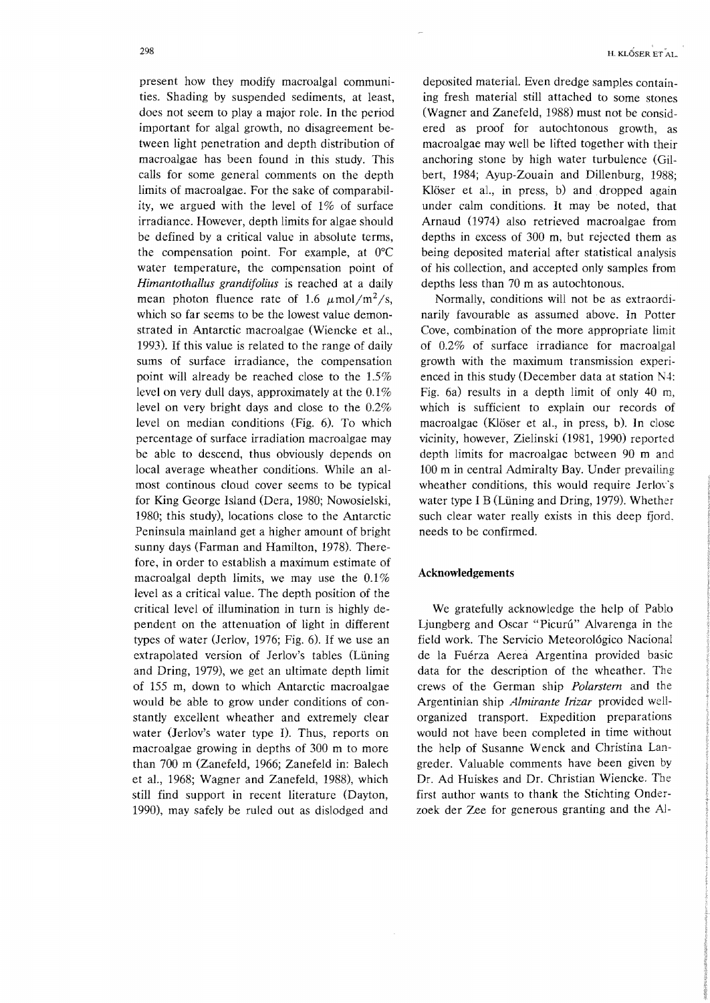present how they modify macroalgal communities. Shading by suspended sediments, at least, does not seem to playa major role. In the period important for algal growth, no disagreement between light penetration and depth distribution of macroalgae has been found in this study. This calls for some general comments on the depth limits of macroalgae. For the sake of comparability, we argued with the level of 1% of surface irradiance. However, depth limits for algae should be defined by a critical value in absolute terms, the compensation point. For example, at O°C water temperature, the compensation point of *Himantothallus grandifolius* is reached at a daily mean photon fluence rate of 1.6  $\mu$ mol/m<sup>2</sup>/s, which so far seems to be the lowest value demonstrated in Antarctic macroalgae (Wiencke et aL, 1993). If this value is related to the range of daily sums of surface irradiance, the compensation point will already be reached close to the 1.5% level on very dull days, approximately at the  $0.1\%$ level on very bright days and close to the 0.2% level on median conditions (Fig. 6). To which percentage of surface irradiation macroalgae may be able to descend, thus obviously depends on local average wheather conditions. While an almost continous cloud cover seems to be typical for King George Island (Dera, 1980; Nowosielski, 1980; this study), locations close to the Antarctic Peninsula mainland get a higher amount of bright sunny days (Farman and Hamilton, 1978). Therefore, in order to establish a maximum estimate of macroalgal depth limits, we may use the 0.1% level as a critical value. The depth position of the critical level of illumination in turn is highly dependent on the attenuation of light in different types of water (lerlov, 1976; Fig. 6). If we use an extrapolated version of Jerlov's tables (Lüning) and Dring, 1979), we get an ultimate depth limit of 155 m, down to which Antarctic macroalgae would be able to grow under conditions of constantly excellent wheather and extremely clear water (Jerlov's water type I). Thus, reports on macroalgae growing in depths of 300 m to more than 700 m (Zanefeld, 1966; Zanefeld in: Balech et aL, 1968; Wagner and Zanefeld, 1988), which still find support in recent literature (Dayton, 1990), may safely be ruled out as dislodged and

deposited material. Even dredge samples containing fresh material still attached to some stones (Wagner and Zanefeld, 1988) must not be considered as proof for autochtonous growth, as macro algae may well be lifted together with their anchoring stone by high water turbulence (Gilbert, 1984; Ayup-Zouain and Dillenburg, 1988; Klöser et al., in press, b) and dropped again under calm conditions. It may be noted, that Arnaud (1974) also retrieved macro algae from depths in excess of 300 m, but rejected them as being deposited material after statistical analysis of his collection, and accepted only samples from depths less than 70 m as autochtonous.

Normally, conditions will not be as extraordinarily favourable as assumed above. In Potter Cove, combination of the more appropriate limit of 0.2% of surface irradiance for macroalgal growth with the maximum transmission experienced in this study (December data at station N4: Fig. 6a) results in a depth limit of only 40 m, which is sufficient to explain our records of macro algae (Klöser et al., in press, b). In close vicinity, however, Zielinski (1981, 1990) reported depth limits for macroalgae between 90 m and 100 m in central Admiralty Bay. Under prevailing wheather conditions, this would require Jerlov's water type I B (Lüning and Dring, 1979). Whether such clear water really exists in this deep fjord. needs to be confirmed.

# **Acknowledgements**

We gratefully acknowledge the help of Pablo Ljungberg and Oscar "Picurú" Alvarenga in the field work. The Servicio Meteorol6gico Nacional de la Fuérza Aerea Argentina provided basic data for the description of the wheather. The crews of the German ship *Polarstern* and the Argentinian ship *Almirante lrizar* provided wellorganized transport. Expedition preparations would not have been completed in time without the help of Susanne Wenck and Christina Langreder. Valuable comments have been given by Dr. Ad Huiskes and Dr. Christian Wiencke. The first author wants to thank the Stichting Onderzoek der Zee for generous granting and the AJ-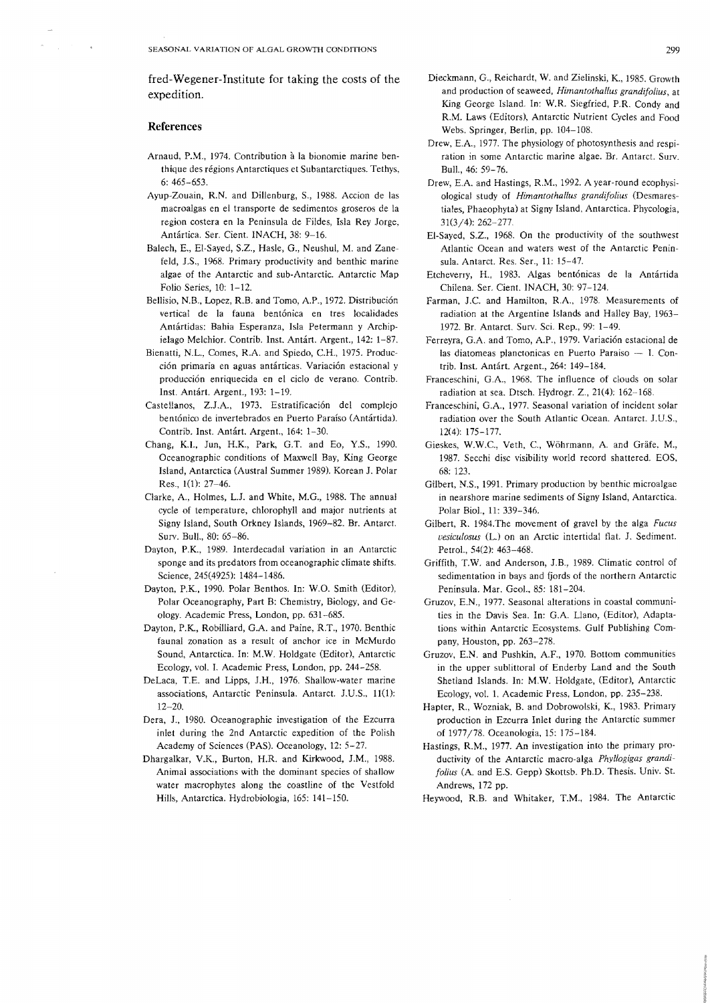fred-Wegener-Institute for taking the costs of the expedition.

#### **References**

- Arnaud, P.M., 1974. Contribution à la bionomie marine benthique des regions Antarctiques et Subantarctiques. Tethys, 6: 465-653.
- Ayup-Zouain, R.N. and Dillenburg, S., 1988. Accion de las macroalgas en el transporte de sedimentos groseros de la region coslera en la Peninsula de Fildes, Isla Rey Jorge, Anlartica. Ser. Cient. INACH, 38: 9-16.
- Balech, E., EI-Sayed, S.z., Hasle, G., Neushul, M. and Zanefeld, J.S., 1968. Primary productivity and benthic marine algae of the Antarctic and sub-Antarctic. Antarctic Map Folio Series, 10: 1-12.
- Bellisio, N.B., Lopez, R.B. and Tomo, A.P., 1972. Distribución vertical de la fauna bentónica en tres localidades Antartidas: Bahia Esperanza, Isla Petermann y Archipielago Melchior. Contrib. lnst. Antart. Argent., 142: 1-87.
- Bienatti, N.L., Comes, R.A. and Spiedo, C.H., 1975. Producción primaria en aguas antárticas. Variación estacional y produccion enriquecida en el cido de verano. Contrib. Inst. Antart. Argent., 193: 1-19.
- Castellanos, Z.J.A., 1973. Estratificación del complejo bentónico de invertebrados en Puerto Paraíso (Antártida). Contrib. Inst. Antárt. Argent., 164: 1-30.
- Chang, KI., Jun, H.K., Park, G.T. and Eo, Y.S., 1990. Oceanographic conditions of Maxwell Bay, King George Island, Antarctica (Austral Summer 1989). Korean J. Polar Res., 1(1): 27-46.
- Clarke, A, Holmes, L.J. and White, M.G., 1988. The annual cycle of temperature, chlorophyll and major nutrients at Signy Island, South Orkney Islands, 1969-82. Br. Antarct. Surv. Bull., 80: 65-86.
- Dayton, P.K, 1989. Interdecadal variation in an Antarctic sponge and its predators from oceanographic climate shifts. Science, 245(4925): 1484-1486.
- Dayton, P.K., 1990. Polar Benthos. In: W.O. Smith (Editor), Polar Oceanography, Part B: Chemistry, Biology, and Geology. Academic Press, London, pp. 631-685.
- Dayton, P.K.., Robilliard, GA. and Paine, RT., 1970. Benthic faunal zonation as a result of anchor ice in McMurdo Sound, Antarctica. In: M.W. Holdgate (Editor), Antarctic Ecology, vol. L Academic Press, London, pp. 244-258.
- DeLaca, T.E. and Lipps, J.H., 1976. Shallow-water marine associations, Antarctic Peninsula. Antarct. J.U.S., 11(1): 12-20.
- Dera, J., 1980. Oceanographic investigation of the Ezcurra inlet during the 2nd Antarctic expedition of the Polish Academy of Sciences (PAS). Oceanology, 12: 5-27.
- Dhargaikar, V.K, Burton, H.R. and Kirkwood, J.M., 1988. Animal associations with the dominant species of shallow water macrophytes along the coastline of the Vestfold Hills, Antarctica. Hydrobiologia, 165: 141-150.
- Dieckmann, G., Reichardt, W. and Zielinski, K, 1985. Growth and production of seaweed, *Himantothallus grandifolius*, at King George Island. In: W.R Siegfried, P.R. Condy and R.M. Laws (Editors), Antarctic Nutrient Cycles and Food Webs. Springer, Berlin, pp. 104-108.
- Drew, E.A, 1977. The physiology of photosynthesis and respiration in some Antarctic marine algae. Br. Antarct. Surv. BulL, 46: 59-76.
- Drew, E.A and Hastings, R.M., 1992. A year-round ecophysiological study of *Himantothallus grandifolius* (Desmarestiales, Phaeophyta) at Signy Island, Antarctica. Phycologia, 31(3/4): 262-277
- EI-Sayed, S.Z., 1968. On the productivity of the southwest Atlantic Ocean and waters west of the Antarctic Peninsula. Antarct. Res. Ser., 11: 15-47.
- Etcheverry, H., 1983. Algas bentonicas de la Antartida Chilena. Ser. Cient. INACH, 30: 97-124.
- Farman, J.C. and Hamilton, R.A., 1978. Measurements of radiation at the Argentine Islands and Halley Bay, 1963- 1972. Br. Antarct. Surv. Sci. Rep., 99: 1-49.
- Ferreyra, G.A. and Tomo, A.P., 1979. Variación estacional de las diatomeas planctonicas en Puerto Paraiso - I. Contrib, Inst. Antart. Argent., 264: 149-184.
- Franceschini, G.A, 1968. The influence of clouds on solar radiation at sea. Dtsch. Hydrogr. Z.,  $21(4)$ :  $162-168$ .
- Franceschini, G.A, 1977. Seasonal variation of incident solar radiation over the South Atlantic Ocean. Antarct. J.U.S., 12(4): 175-177.
- Gieskes, W.W.C., Veth, C., Wöhrmann, A. and Gräfe, M., 1987. Secchi disc visibility world record shattered. EOS, 68: 123.
- Gilbert, N.S., 1991. Primary production by benthic microalgae in nearshore marine sediments of Signy Island, Antarctica. Polar Bioi., 11: 339-346.
- Gilbert, R. 1984.The movement of gravel by the alga *Fucus vesiculosus* (L.) on an Arctic intertidal flat. J. Sediment. Petrol., 54(2): 463-468.
- Griffith, T.W. and Anderson, J,B., 1989. Climatic control of sedimentation in bays and fjords of the northern Antarctic Peninsula. Mar. Geo!., 85: 181-204,
- Gruzov, E.N., 1977. Seasonal alterations in coastal communities in the Davis Sea. In: G.A Llano, (Editor), Adaptations within Antarctic Ecosystems. Gulf Publishing Company, Houston, pp. 263-278.
- Gruzov, E.N. and Pushkin, AF., 1970. Bottom communities in the upper sublittoral of Enderby Land and the South Shetland Islands. In: M.W. Holdgate, (Editor), Antarctic Ecology, vol. 1. Academic Press, London, pp. 235-238.
- Hapter, R., Wozniak, B. and Dobrowolski, K, 1983. Primary production in Ezcurra Inlet during the Antarctic summer of 1977/78. Oceanologia, 15: 175-184.
- Hastings, R.M., 1977. An investigation into the primary pro· ductivity of the Antarctic macro-alga *Phyllogigas grandifolius* (A. and E.S. Gepp) Skottsb. Ph.D. Thesis. Univ. St. Andrews, 172 pp.
- Heywood, RB. and Whitaker, T.M., 1984. The Antarctic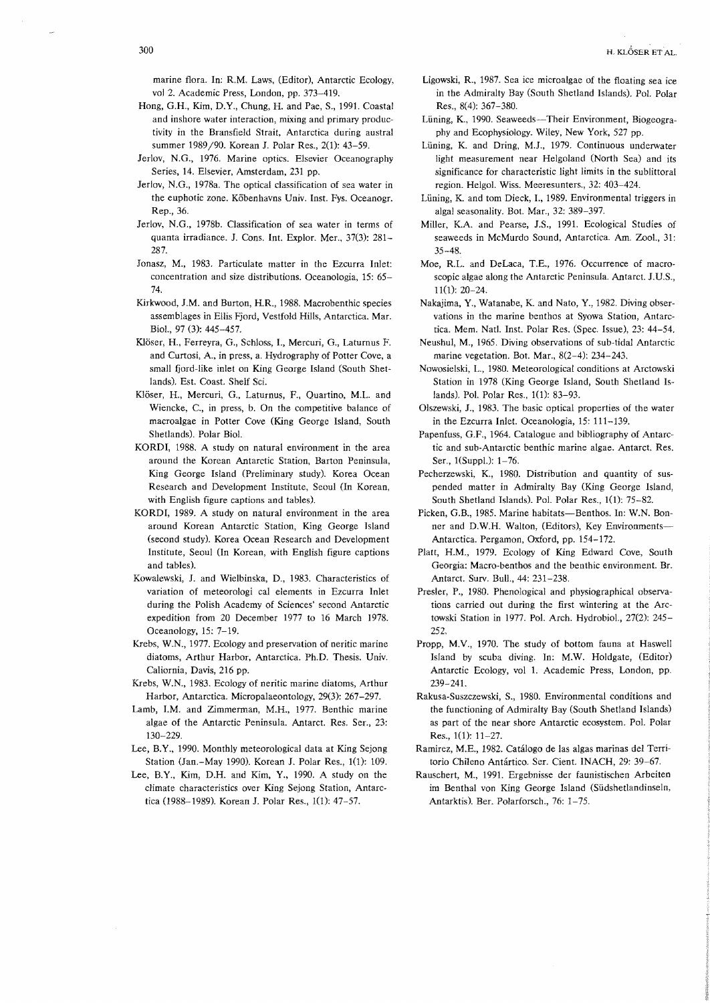marine flora. In: R.M. Laws, (Editor), Antarctic Ecology, vol 2. Academic Press, London, pp. 373-419.

- Hong, G.H., Kim, D.Y., Chung, H. and Pae, S., 1991. Coastal and inshore water interaction, mixing and primary productivity in the Bransfield Strait, Antarctica during austral summer 1989/90. Korean J. Polar Res., 2(1): 43-59.
- Jerlov, N.G., 1976. Marine optics. Elsevier Oceanography Series, 14. Elsevier, Amsterdam, 231 pp.
- lerlov, N.G., 1978a. The optical classification of sea water in the euphotic zone. Köbenhavns Univ. Inst. Fys. Oceanogr. Rep., 36.
- Jerlov, N.G., 1978b. Classification of sea water in terms of quanta irradiance. 1. Cons. Int. Explor. Mer., 37(3): 281- 287.
- Jonasz, M., 1983. Particulate matter in the Ezcurra Inlet: concentration and size distributions. Oceanologia, 15: 65- 74.
- Kirkwood, J.M. and Burton, H.R., 1988. Macrobenthic species assemblages in Ellis Fjord, Vestfold Hills, Antarctica. Mar. BioL, 97 (3): 445-457.
- K1oser, H., Ferreyra, G., Schloss, L, Mercuri, G., Laturnus F. and Curtosi, A, in press, a. Hydrography of Potter Cove, a small fjord-like inlet on King George Island (South Shetlands). Est. Coast. Shelf Sci.
- Klöser, H., Mercuri, G., Laturnus, F., Quartino, M.L. and Wiencke, C, in press, b. On the competitive balance of macroalgae in Potter Cove (King George Island, South Shetlands). Polar BioI.
- KORDI, 1988. A study on natural environment in the area around the Korean Antarctic Station, Barton Peninsula, King George Island (Preliminary study). Korea Ocean Research and Development Institute, Seoul (In Korean, with English figure captions and tables).
- KORDI, 1989. A study on natural environment in the area around Korean Antarctic Station, King George Island (second study). Korea Ocean Research and Development Institute, Seoul (In Korean, with English figure captions and tables).
- Kowalewski, J. and Wielbinska, D., 1983. Characteristics of variation of meteorologi cal elements in Ezcurra Inlet during the Polish Academy of Sciences' second Antarctic expedition from 20 December 1977 to 16 March 1978. Oceanology, 15: 7-19.
- Krebs, W.N., 1977. Ecology and preservation of neritic marine diatoms, Arthur Harbor, Antarctica. Ph.D. Thesis. Univ. Caliornia, Davis, 216 pp.
- Krebs, W.N., 1983. Ecology of neritic marine diatoms, Arthur Harbor, Antarctica. Micropalaeontology, 29(3): 267-297.
- Lamb, I.M. and Zimmerman, M.H., 1977. Benthic marine algae of the Antarctic Peninsula. Antarct. Res. Ser., 23: 130-229.
- Lee, B.Y., 1990. Monthly meteorological data at King Sejong Station (Jan.-May 1990). Korean J. Polar Res., 1(1): 109.
- Lee, B.Y., Kim, D.H. and Kim, Y., 1990. A study on the climate characteristics over King Sejong Station, Antarctica (1988-1989). Korean J. Polar Res., 1(1): 47-57.
- Ligowski, R., 1987. Sea ice microalgae of the floating sea ice in the Admiralty Bay (South Shetland Islands). Pol. Polar Res., 8(4): 367-380.
- Lüning, K., 1990. Seaweeds-Their Environment, Biogeography and Ecophysiology. Wiley, New York, 527 pp.
- Lüning, K. and Dring, M.J., 1979. Continuous underwater light measurement near Helgoland (North Sea) and its significance for characteristic light limits in the sublittoral region. Helgol. Wiss. Meeresunters., 32: 403-424.
- Lüning, K. and tom Dieck, I., 1989. Environmental triggers in algal seasonality. Bot. Mar., 32: 389-397.
- Miller, KA. and Pearse, J.S., 1991. Ecological Studies of seaweeds in McMurdo Sound, Antarctica. Am. Zool., 31: 35-48.
- Moe, R.L. and DeLaca, T.E., 1976. Occurrence of macroscopic algae along the Antarctic Peninsula. Antarct. J.U.S., 11(l): 20-24.
- Nakajima, Y., Watanabe, K and Nato, Y., 1982. Diving observations in the marine benthos at Syowa Station, Antarctica. Mem. NatL Inst. Polar Res. (Spec. Issue), 23: 44-54.
- Neushul, M., 1965. Diving observations of sub-tidal Antarctic marine vegetation. Bot. Mar., 8(2-4): 234-243.
- Nowosielski, L., 1980. Meteorological conditions at Arctowski Station in 1978 (King George Island, South Shetland Islands). PoL Polar Res., 1(1): 83-93.
- Olszewski, J., 1983. The basic optical properties of the water in the Ezcurra Inlet. Oceanologia, 15: 111-139.
- Papenfuss, G.F., 1964. Catalogue and bibliography of Antarctic and sub-Antarctic benthic marine algae. Antarct. Res. Ser., 1(Suppl.): 1-76.
- Pecherzewski, K, 1980. Distribution and quantity of suspended matter in Admiralty Bay (King George Island, South Shetland Islands). PoL Polar Res., 1(1): 75-82.
- Picken, G.B., 1985. Marine habitats-Benthos. In: W.N. Bonner and D.W.H. Walton, (Editors), Key Environments-Antarctica. Pergamon, Oxford, pp. 154-172.
- Platt, H.M., 1979. Ecology of King Edward Cove, South Georgia: Macro-benthos and the benthic environment. Br. Antarct. Surv. Bull., 44: 231-238.
- Presler, P., 1980. Phenological and physiographical observations carried out during the first wintering at the Arctowski Station in 1977. Pol. Arch. Hydrobiol., 27(2): 245- 252.
- Propp, M.V., 1970. The study of bottom fauna at Haswell Island by scuba diving. In: M.W. Holdgate, (Editor) Antarctic Ecology, vol 1. Academic Press, London, pp. 239-241.
- Rakusa-Suszczewski, S., 1980. Environmental conditions and the functioning of Admiralty Bay (South Shetland Islands) as part of the near shore Antarctic eeosystem. Pol. Polar Res., 1(1): 11-27.
- Ramirez, M.E., 1982. Catálogo de las algas marinas del Territorio Chileno Antártico. Ser. Cient. INACH, 29: 39-67.
- Rauschert, M., 1991. Ergebnisse der faunistischen Arbeiten im Benthal von King George Island (Siidshetlandinseln, Antarktis). Ber. Polarforsch., 76: 1-75.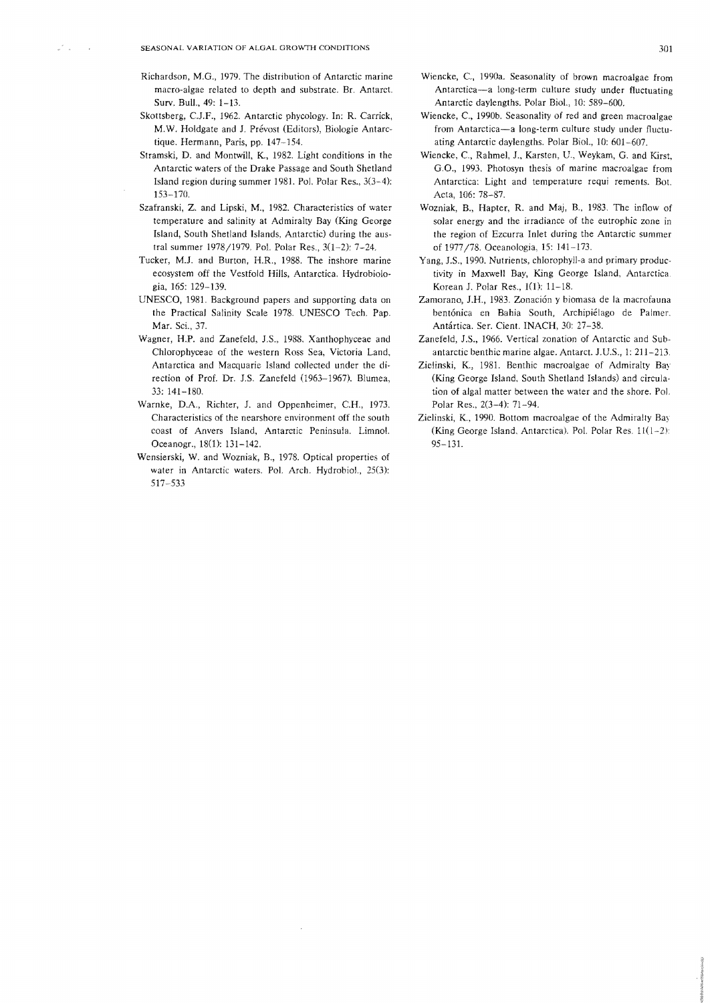$\omega^{\lambda}$  .

- Richardson, M.G., 1979. The distribution of Antarctic marine macro-algae related to depth and substrate. Br. Antarct. Surv. Bull., 49: 1-13.
- Skottsberg, CJ.F., 1962. Antarctic phycology. In: R. Carrick, M.W. Holdgate and J. Prévost (Editors), Biologie Antarctique. Hermann, Paris, pp. 147-154.
- Stramski, D. and MontwiU, K., 1982. Light conditions in the Antarctic waters of the Drake Passage and South Shetland Island region during summer 1981. Pol. Polar Res., 3(3-4}: 153-170.
- Szafranski, Z. and Lipski, M., 1982. Characteristics of water temperature and salinity at Admiralty Bay (King George Island, South Shetland Islands, Antarctic) during the austral summer 1978/1979. Pol. Polar Res., 3(1-2}: 7-24.
- Tucker, M.J. and Burton, H.R., 1988. The inshore marine ecosystem off the Vestfold Hills, Antarctica. Hydrobiologia, 165: 129-139.
- UNESCO, 1981. Background papers and supporting data on the Practical Salinity Scale 1978. UNESCO Tech. Pap. Mar. Sci., 37.
- Wagner, H.P. and Zanefeld, J.S., 1988. Xanthophyceae and Chlorophyceae of the western Ross Sea, Victoria Land, Antarctica and Macquarie Island collected under the direction of Prof. Dr. 1.S. Zanefeld (1963-1967). Blumea, 33: 141-180.
- Warnke, D.A., Richter, J. and Oppenheimer, CH., 1973. Characteristics of the nearshore environment off the south coast of Anvers Island, Antarctic Peninsula. Limnol. Oceanogr., 18(1): 131-142.
- Wensierski, W. and Wozniak, B., 1978. Optical properties of water in Antarctic waters. Pol. Arch. Hydrobiol., 25(3): 517-533
- Wieneke, C, 1990a. Seasonality of brown maeroalgae from Antarctica-a long-term culture study under fluctuating Antarctic daylengths. Polar Biol., 10: 589-600.
- Wieneke, C, 1990b. Seasonality of red and green macroalgae from Antarctica-a long-term culture study under fluctuating Antarctic daylengths. Polar BioI., 10: 601-607.
- Wieneke, C, Rahmel, J., Karsten, D., Weykam, G. and Kirst, G.O., 1993. Photosyn thesis of marine macroalgae from Antarctica: Light and temperature requi rements. Bot. Acta, 106: 78-87.
- Wozniak, B., Hapter, R. and Maj, B., 1983. The inflow of solar energy and the irradiance of the eutrophic zone in the region of Ezcurra Inlet during the Antarctic summer of 1977/78. Oceanologia, 15: 141-173.
- Yang, J.S., 1990. Nutrients, chlorophyll-a and primary productivity in Maxwell Bay, King George Island, Antarctica Korean J. Polar Res., 1(1}: 11-18.
- Zamorano, J.H., 1983. Zonación y biomasa de la macrofauna bentónica en Bahia South, Archipiélago de Palmer. Antartica. Ser. Cient. INACH, 30: 27-38.
- Zanefeld, J.S., 1966. Vertical zonation of Antarctic and Subantarctic benthic marine algae. Antarct. J.U.S., 1: 211-213.
- Zielinski, K., 1981. Benthic macroaigae of Admiralty Bay (King George Island, South Shetland Islands) and circulation of algal matter between the water and the shore. Pol. Polar Res., 2(3-4): 71-94.
- Zielinski, K., 1990. Bottom macroalgae of the Admiralty Bay (King George Island, Antarctica). Pol. Polar Res.  $11(1-2)$ : 95-131.